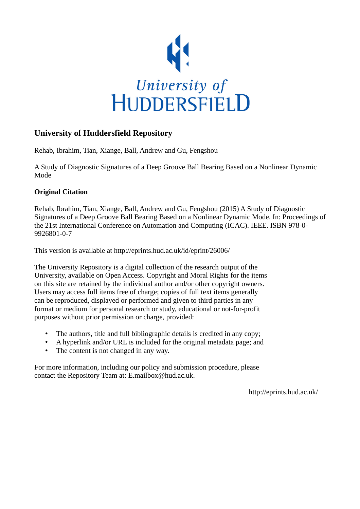

## **University of Huddersfield Repository**

Rehab, Ibrahim, Tian, Xiange, Ball, Andrew and Gu, Fengshou

A Study of Diagnostic Signatures of a Deep Groove Ball Bearing Based on a Nonlinear Dynamic Mode

## **Original Citation**

Rehab, Ibrahim, Tian, Xiange, Ball, Andrew and Gu, Fengshou (2015) A Study of Diagnostic Signatures of a Deep Groove Ball Bearing Based on a Nonlinear Dynamic Mode. In: Proceedings of the 21st International Conference on Automation and Computing (ICAC). IEEE. ISBN 978-0- 9926801-0-7

This version is available at http://eprints.hud.ac.uk/id/eprint/26006/

The University Repository is a digital collection of the research output of the University, available on Open Access. Copyright and Moral Rights for the items on this site are retained by the individual author and/or other copyright owners. Users may access full items free of charge; copies of full text items generally can be reproduced, displayed or performed and given to third parties in any format or medium for personal research or study, educational or not-for-profit purposes without prior permission or charge, provided:

- The authors, title and full bibliographic details is credited in any copy;
- A hyperlink and/or URL is included for the original metadata page; and
- The content is not changed in any way.

For more information, including our policy and submission procedure, please contact the Repository Team at: E.mailbox@hud.ac.uk.

http://eprints.hud.ac.uk/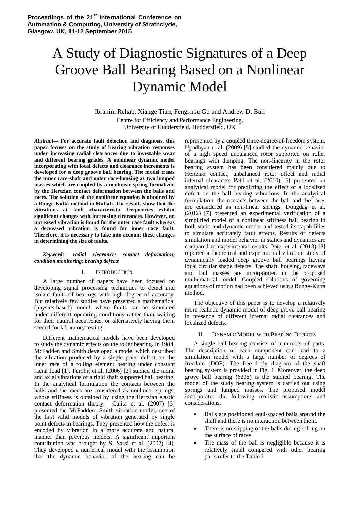# A Study of Diagnostic Signatures of a Deep Groove Ball Bearing Based on a Nonlinear Dynamic Model

Ibrahim Rehab, Xiange Tian, Fengshou Gu and Andrew D. Ball Centre for Efficiency and Performance Engineering, University of Huddersfield, Huddersfield, UK

*Abstract***— For accurate fault detection and diagnosis, this paper focuses on the study of bearing vibration responses under increasing radial clearances due to investable wear and different bearing grades. A nonlinear dynamic model incorporating with local defects and clearance increments is developed for a deep groove ball bearing. The model treats the inner race-shaft and outer race-housing as two lumped masses which are coupled by a nonlinear spring formalized by the Hertzian contact deformation between the balls and races. The solution of the nonlinear equation is obtained by a Runge-Kutta method in Matlab. The results show that the vibrations at fault characteristic frequencies exhibit significant changes with increasing clearances. However, an increased vibration is found for the outer race fault whereas a decreased vibration is found for inner race fault. Therefore, it is necessary to take into account these changes in determining the size of faults.**

#### *Keywords- radial clearance; contact deformation; condition monitoring; bearing defects*

#### I. INTRODUCTION

A large number of papers have been focused on developing signal processing techniques to detect and isolate faults of bearings with high degree of accuracy. But relatively few studies have presented a mathematical (physics-based) model, where faults can be simulated under different operating conditions rather than waiting for their natural occurrence, or alternatively having them seeded for laboratory testing.

Different mathematical models have been developed to study the dynamic effects on the roller bearing. In 1984, McFadden and Smith developed a model which described the vibration produced by a single point defect on the inner race of a rolling element bearing under constant radial load [\[1\]](#page-6-0). Purohit et al. (2006) [\[2\]](#page-6-1) studied the radial and axial vibrations of a rigid shaft supported ball bearing. In the analytical formulation the contacts between the balls and the races are considered as nonlinear springs, whose stiffness is obtained by using the Hertzian elastic contact deformation theory. Culita et al. (2007) [\[3\]](#page-6-2) presented the McFadden- Smith vibration model, one of the first valid models of vibration generated by single point defects in bearings. They presented how the defect is encoded by vibration in a more accurate and natural manner than previous models. A significant important contribution was brought by S. Sassi et al. (2007) [\[4\]](#page-6-3). They developed a numerical model with the assumption that the dynamic behavior of the bearing can be

represented by a coupled three-degree-of-freedom system. Upadhyan et al. (2009) [\[5\]](#page-7-0) studied the dynamic behavior of a high speed unbalanced rotor supported on roller bearings with damping. The non-linearity in the rotor bearing system has been considered mainly due to Hertzian contact, unbalanced rotor effect and radial internal clearance. Patil et al. (2010) [\[6\]](#page-7-1) presented an analytical model for predicting the effect of a localized defect on the ball bearing vibrations. In the analytical formulation, the contacts between the ball and the races are considered as non-linear springs. Dougdag et al. (2012) [\[7\]](#page-7-2) presented an experimental verification of a simplified model of a nonlinear stiffness ball bearing in both static and dynamic modes and tested its capabilities to simulate accurately fault effects. Results of defects simulation and model behavior in statics and dynamics are compared to experimental results. Patel et al. (2013) [\[8\]](#page-7-3) reported a theoretical and experimental vibration study of dynamically loaded deep groove ball bearings having local circular shape defects. The shaft, housing, raceways and ball masses are incorporated in the proposed mathematical model. Coupled solutions of governing equations of motion had been achieved using Runge-Kutta method.

The objective of this paper is to develop a relatively more realistic dynamic model of deep grove ball bearing in presence of different internal radial clearances and localized defects.

### II. DYNAMIC MODEL WITH BEARING DEFECTS

A single ball bearing consists of a number of parts. The description of each component can lead to a simulation model with a large number of degrees of freedom (DOF). The free body diagram of the shaft bearing system is provided in Fig. 1. Moreover, the deep grove ball bearing (6206) is the studied bearing. The model of the study bearing system is carried out using springs and lumped masses. The proposed model incorporates the following realistic assumptions and considerations.

- Balls are positioned equi-spaced balls around the shaft and there is no interaction between them.
- There is no slipping of the balls during rolling on the surface of races.
- The mass of the ball is negligible because it is relatively small compared with other bearing parts refer to the Table I.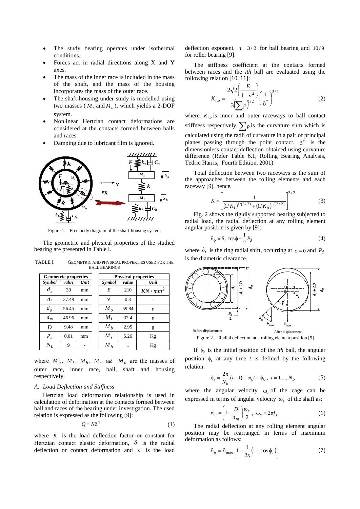- The study bearing operates under isothermal conditions.
- Forces act in radial directions along X and Y axes.
- The mass of the inner race is included in the mass of the shaft, and the mass of the housing incorporates the mass of the outer race.
- The shaft-housing under study is modelled using two masses ( $M_s$  and  $M_h$ ), which yields a 2-DOF system.
- Nonlinear Hertzian contact deformations are considered at the contacts formed between balls and races.
- Damping due to lubricant film is ignored.



Figure 1. Free body diagram of the shaft-housing system

The geometric and physical properties of the studied bearing are presented in Table I.

| <b>Geometric properties</b> |       |      |  | <b>Physical properties</b> |       |           |  |
|-----------------------------|-------|------|--|----------------------------|-------|-----------|--|
| Symbol                      | value | Unit |  | Symbol                     | value | Unit      |  |
| $d_s$                       | 30    | mm   |  | E                          | 210   | $KN/mm^2$ |  |
| $d_i$                       | 37.48 | mm   |  | ν                          | 0.3   |           |  |
| $d_o$                       | 56.45 | mm   |  | $M_{o}$                    | 59.84 | g         |  |
| $d_m$                       | 46.96 | mm   |  | $M_i$                      | 32.4  | g         |  |
| D                           | 9.48  | mm   |  | $M_h$                      | 2.95  | g         |  |
| $P_{d}$                     | 0.01  | mm   |  | $M_{s}$                    | 5.26  | Kg        |  |
| $N_b$                       | 9     |      |  | $M_h$                      |       | Kg        |  |

TABLE I. GEOMETRIC AND PHYSICAL PROPERTIES USED FOR THE BALL BEARINGS

where  $M_0$ ,  $M_i$ ,  $M_b$ ,  $M_s$  and  $M_h$  are the masses of outer race, inner race, ball, shaft and housing respectively.

#### *A. Load Deflection and Stiffness*

Hertzian load deformation relationship is used in calculation of deformation at the contacts formed between ball and races of the bearing under investigation. The used relation is expressed as the following [\[9\]](#page-7-4):

$$
Q = K\delta^n \tag{1}
$$

where *K* is the load deflection factor or constant for Hertzian contact elastic deformation,  $\delta$  is the radial deflection or contact deformation and *n* is the load deflection exponent,  $n = 3/2$  for ball bearing and 10/9 for roller bearing [\[9\]](#page-7-4).

The stiffness coefficient at the contacts formed between races and the *ith* ball are evaluated using the following relation [\[10,](#page-7-5) [11\]](#page-7-6):

$$
K_{i,o} = \frac{2\sqrt{2}\left(\frac{E}{1-\mathbf{v}^2}\right)}{3(\sum \rho)^{1/2}} \left(\frac{1}{\delta^*}\right)^{3/2}
$$
 (2)

where  $K_{i,o}$  is inner and outer raceways to ball contact stiffness respectively,  $\sum \rho$  is the curvature sum which is calculated using the radii of curvature in a pair of principal planes passing through the point contact.  $\delta^*$  is the dimensionless contact deflection obtained using curvature difference (Refer Table 6.1, Rolling Bearing Analysis, Tedric Harris, Fourth Edition, 2001).

Total deflection between two raceways is the sum of the approaches between the rolling elements and each raceway [\[9\]](#page-7-4), hence,

$$
K = \left[ \frac{1}{\left(1/K_i\right)^{1/(3/2)} + \left(1/K_o\right)^{1/(3/2)}} \right]^{3/2}
$$
 (3)

Fig. 2 shows the rigidly supported bearing subjected to radial load, the radial deflection at any rolling element angular position is given by [\[9\]](#page-7-4):

$$
\delta_{\phi} = \delta_r \cos \phi - \frac{1}{2} P_d \tag{4}
$$

where  $\delta_r$  is the ring radial shift, occurring at  $\phi = 0$  and  $P_d$ is the diametric clearance.



Figure 2. Radial deflection at a rolling element position [\[9\]](#page-7-4)

If  $\phi_0$  is the initial position of the *ith* ball, the angular position  $\phi_i$  at any time *t* is defined by the following relation:

$$
\phi_i = \frac{2\pi}{N_b}(i-1) + \omega_c t + \phi_0, \ i = 1,..., N_b
$$
 (5)

where the angular velocity  $\omega_c$  of the cage can be expressed in terms of angular velocity  $\omega_s$  of the shaft as:

$$
\omega_c = \left(1 - \frac{D}{d_m}\right) \frac{\omega_s}{2}, \ \omega_s = 2\pi f_s \tag{6}
$$

The radial deflection at any rolling element angular position may be rearranged in terms of maximum deformation as follows:

$$
\delta_{\phi} = \delta_{\text{max}} \left[ 1 - \frac{1}{2\epsilon} \left( 1 - \cos \phi_i \right) \right] \tag{7}
$$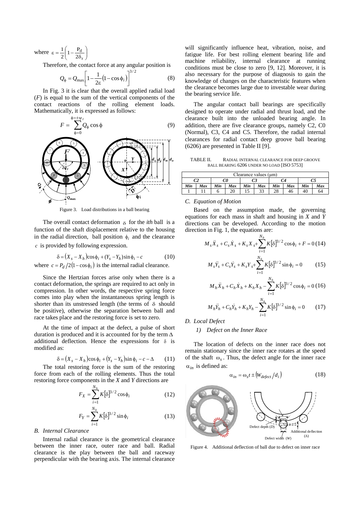where  $\epsilon = \frac{1}{2} \left| 1 - \frac{r_d}{2\delta} \right|$ J  $\backslash$  $\overline{\phantom{a}}$  $\overline{\phantom{0}}$  $\epsilon = \frac{1}{2} \left( 1 - \frac{P_d}{2\delta_r} \right)$ d  $rac{1}{2}$  $\left(1-\frac{P}{2\delta}\right)$ 1

Therefore, the contact force at any angular position is

$$
Q_{\phi} = Q_{\text{max}} \left[ 1 - \frac{1}{2\varepsilon} \left( 1 - \cos \phi_i \right) \right]^{3/2} \tag{8}
$$

In Fig. 3 it is clear that the overall applied radial load (*F*) is equal to the sum of the vertical components of the contact reactions of the rolling element loads. Mathematically, it is expressed as follows:



Figure 3. Load distributions in a ball bearing

The overall contact deformation δ for the *ith* ball is a function of the shaft displacement relative to the housing in the radial direction, ball position  $\phi_i$  and the clearance *c* is provided by following expression.

$$
\delta = (X_s - X_h)\cos\phi_i + (Y_s - Y_h)\sin\phi_i - c \tag{10}
$$

where  $c = P_d / 2(1 - \cos \phi_i)$  is the internal radial clearance.

Since the Hertzian forces arise only when there is a contact deformation, the springs are required to act only in compression. In other words, the respective spring force comes into play when the instantaneous spring length is shorter than its unstressed length (the terms of  $\delta$  should be positive), otherwise the separation between ball and race takes place and the restoring force is set to zero.

At the time of impact at the defect, a pulse of short duration is produced and it is accounted for by the term ∆ additional deflection. Hence the expressions for  $\delta$  is modified as:

$$
\delta = (X_s - X_h)\cos\phi_i + (Y_s - Y_h)\sin\phi_i - c - \Delta \qquad (11)
$$

The total restoring force is the sum of the restoring force from each of the rolling elements. Thus the total restoring force components in the *X* and *Y* directions are

$$
F_X = \sum_{i=1}^{N_b} K[\delta]^{3/2} \cos \phi_i
$$
 (12)

$$
F_Y = \sum_{i=1}^{N_b} K[\delta]^{3/2} \sin \phi_i
$$
 (13)

#### *B. Internal Clearance*

Internal radial clearance is the geometrical clearance between the inner race, outer race and ball. Radial clearance is the play between the ball and raceway perpendicular with the bearing axis. The internal clearance

will significantly influence heat, vibration, noise, and fatigue life. For best rolling element bearing life and machine reliability, internal clearance at running conditions must be close to zero [\[9,](#page-7-4) [12\]](#page-7-7). Moreover, it is also necessary for the purpose of diagnosis to gain the knowledge of changes on the characteristic features when the clearance becomes large due to investable wear during the bearing service life.

The angular contact ball bearings are specifically designed to operate under radial and thrust load, and the clearance built into the unloaded bearing angle. In addition, there are five clearance groups, namely C2, C0 (Normal), C3, C4 and C5. Therefore, the radial internal clearances for radial contact deep groove ball bearing (6206) are presented in Table II [\[9\]](#page-7-4).

TABLE II. RADIAL INTERNAL CLEARANCE FOR DEEP GROOVE BALL BEARING 6206 UNDER NO LOAD [ISO 5753]

| Clearance values $(\mu m)$ |     |     |     |     |            |     |     |     |     |  |  |  |  |  |
|----------------------------|-----|-----|-----|-----|------------|-----|-----|-----|-----|--|--|--|--|--|
|                            |     | CО  |     |     |            | C4  |     |     |     |  |  |  |  |  |
| Min                        | Max | Min | Max | Min | <b>Max</b> | Min | Max | Min | Max |  |  |  |  |  |
|                            |     |     |     |     | 33         | 28  | 46  |     | 64  |  |  |  |  |  |

#### *C. Equation of Motion*

Based on the assumption made, the governing equations for each mass in shaft and housing in *X* and *Y* directions can be developed. According to the motion direction in Fig. 1, the equations are:

$$
M_{s}\ddot{X}_{s} + C_{s}\dot{X}_{s} + K_{s}X_{s} + \sum_{i=1}^{N_{b}} K[\delta]^{3/2}\cos\phi_{i} + F = 0
$$
(14)

$$
M_{s}\ddot{Y}_{s} + C_{s}\dot{Y}_{s} + K_{s}Y_{s} + \sum_{i=1}^{N_{b}} K[\delta]^{3/2} \sin \phi_{i} = 0
$$
 (15)

$$
M_h \ddot{X}_h + C_h \dot{X}_h + K_h X_h - \sum_{i=1}^{N_b} K[\delta]^{3/2} \cos \phi_i = 0 \text{ (16)}
$$

$$
M_h \ddot{Y}_h + C_h \dot{Y}_h + K_h Y_h - \sum_{i=1}^{N_b} K [\delta]^{3/2} \sin \phi_i = 0 \qquad (17)
$$

*D. Local Defect*

*1) Defect on the Inner Race*

The location of defects on the inner race does not remain stationary since the inner race rotates at the speed of the shaft  $\omega_s$ . Thus, the defect angle for the inner race  $\alpha_{in}$  is defined as:

$$
\alpha_{in} = \omega_s t \pm \left( W_{defect} / d_i \right) \tag{18}
$$



Figure 4. Additional deflection of ball due to defect on inner race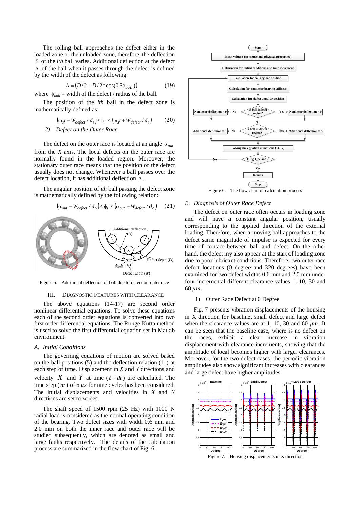The rolling ball approaches the defect either in the loaded zone or the unloaded zone, therefore, the deflection δ of the *ith* ball varies. Additional deflection at the defect ∆ of the ball when it passes through the defect is defined by the width of the defect as following:

$$
\Delta = (D/2 - D/2 \cdot \cos(0.5\phi_{ball})) \tag{19}
$$

where  $\phi_{ball}$  = width of the defect / radius of the ball.

The position of the *ith* ball in the defect zone is mathematically defined as:

$$
\left(\omega_{s}t - W_{defect} / d_{i}\right) \leq \phi_{i} \leq \left(\omega_{s}t + W_{defect} / d_{i}\right)
$$
\n(20)

\n2) Defect on the Outer Race

The defect on the outer race is located at an angle α*out* from the *X* axis. The local defects on the outer race are normally found in the loaded region. Moreover, the stationary outer race means that the position of the defect usually does not change. Whenever a ball passes over the defect location, it has additional deflection ∆ .

The angular position of *ith* ball passing the defect zone is mathematically defined by the following relation:

$$
\left(\alpha_{out} - W_{defect} / d_o\right) \le \phi_i \le \left(\alpha_{out} + W_{defect} / d_o\right) \tag{21}
$$



Figure 5. Additional deflection of ball due to defect on outer race

#### III. DIAGNOSTIC FEATURES WITH CLEARANCE

The above equations (14-17) are second order nonlinear differential equations. To solve these equations each of the second order equations is converted into two first order differential equations. The Runge-Kutta method is used to solve the first differential equation set in Matlab environment.

#### *A. Initial Conditions*

The governing equations of motion are solved based on the ball positions (5) and the deflection relation (11) at each step of time. Displacement in *X* and *Y* directions and velocity *X* and *Y* at time  $(t + dt)$  are calculated. The time step  $(dt)$  of 6  $\mu$ s for nine cycles has been considered. The initial displacements and velocities in *X* and *Y* directions are set to zeroes.

The shaft speed of 1500 rpm (25 Hz) with 1000 N radial load is considered as the normal operating condition of the bearing. Two defect sizes with width 0.6 mm and 2.0 mm on both the inner race and outer race will be studied subsequently, which are denoted as small and large faults respectively. The details of the calculation process are summarized in the flow chart of Fig. 6.



Figure 6. The flow chart of calculation process

#### *B. Diagnosis of Outer Race Defect*

The defect on outer race often occurs in loading zone and will have a constant angular position, usually corresponding to the applied direction of the external loading. Therefore, when a moving ball approaches to the defect same magnitude of impulse is expected for every time of contact between ball and defect. On the other hand, the defect my also appear at the start of loading zone due to poor lubricant conditions. Therefore, two outer race defect locations (0 degree and 320 degrees) have been examined for two defect widths 0.6 mm and 2.0 mm under four incremental different clearance values 1, 10, 30 and  $60 \text{ }\mu m$ .

#### 1) Outer Race Defect at 0 Degree

Fig. 7 presents vibration displacements of the housing in X direction for baseline, small defect and large defect when the clearance values are at 1, 10, 30 and 60  $\mu$ m. It can be seen that the baseline case, where is no defect on the races, exhibit a clear increase in vibration displacement with clearance increments, showing that the amplitude of local becomes higher with larger clearances. Moreover, for the two defect cases, the periodic vibration amplitudes also show significant increases with clearances and large defect have higher amplitudes.

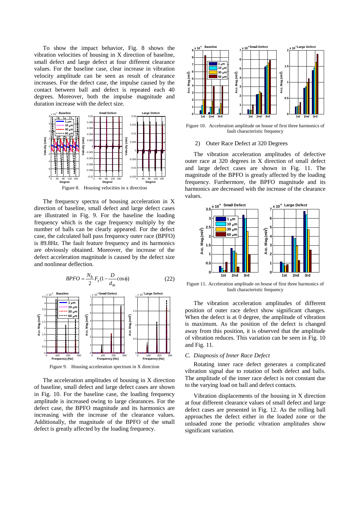To show the impact behavior, Fig. 8 shows the vibration velocities of housing in X direction of baseline, small defect and large defect at four different clearance values. For the baseline case, clear increase in vibration velocity amplitude can be seen as result of clearance increases. For the defect case, the impulse caused by the contact between ball and defect is repeated each 40 degrees. Moreover, both the impulse magnitude and duration increase with the defect size.



The frequency spectra of housing acceleration in X direction of baseline, small defect and large defect cases are illustrated in Fig. 9. For the baseline the loading frequency which is the cage frequency multiply by the number of balls can be clearly appeared. For the defect case, the calculated ball pass frequency outer race (BPFO) is 89.8Hz. The fault feature frequency and its harmonics are obviously obtained. Moreover, the increase of the defect acceleration magnitude is caused by the defect size and nonlinear deflection.





The acceleration amplitudes of housing in X direction of baseline, small defect and large defect cases are shown in Fig. 10. For the baseline case, the loading frequency amplitude is increased owing to large clearances. For the defect case, the BPFO magnitude and its harmonics are increasing with the increase of the clearance values. Additionally, the magnitude of the BPFO of the small defect is greatly affected by the loading frequency.



Figure 10. Acceleration amplitude on house of first three harmonics of fault characteristic frequency

#### 2) Outer Race Defect at 320 Degrees

The vibration acceleration amplitudes of defective outer race at 320 degrees in X direction of small defect and large defect cases are shown in Fig. 11. The magnitude of the BPFO is greatly affected by the loading frequency. Furthermore, the BPFO magnitude and its harmonics are decreased with the increase of the clearance values.



Figure 11. Acceleration amplitude on house of first three harmonics of fault characteristic frequency

The vibration acceleration amplitudes of different position of outer race defect show significant changes. When the defect is at 0 degree, the amplitude of vibration is maximum. As the position of the defect is changed away from this position, it is observed that the amplitude of vibration reduces. This variation can be seen in Fig. 10 and Fig. 11.

#### *C. Diagnosis of Inner Race Defect*

Rotating inner race defect generates a complicated vibration signal due to rotation of both defect and balls. The amplitude of the inner race defect is not constant due to the varying load on ball and defect contacts.

Vibration displacements of the housing in X direction at four different clearance values of small defect and large defect cases are presented in Fig. 12. As the rolling ball approaches the defect either in the loaded zone or the unloaded zone the periodic vibration amplitudes show significant variation.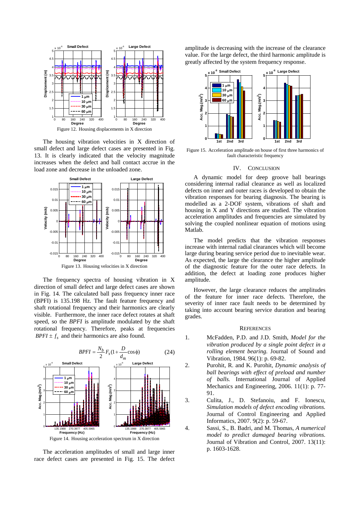

The housing vibration velocities in X direction of small defect and large defect cases are presented in Fig. 13. It is clearly indicated that the velocity magnitude increases when the defect and ball contact accrue in the load zone and decrease in the unloaded zone.



The frequency spectra of housing vibration in X direction of small defect and large defect cases are shown in Fig. 14. The calculated ball pass frequency inner race (BPFI) is 135.198 Hz. The fault feature frequency and shaft rotational frequency and their harmonics are clearly visible. Furthermore, the inner race defect rotates at shaft speed, so the *BPFI* is amplitude modulated by the shaft rotational frequency. Therefore, peaks at frequencies *BPFI*  $\pm f_s$  and their harmonics are also found.



The acceleration amplitudes of small and large inner race defect cases are presented in Fig. 15. The defect amplitude is decreasing with the increase of the clearance value. For the large defect, the third harmonic amplitude is greatly affected by the system frequency response.



Figure 15. Acceleration amplitude on house of first three harmonics of fault characteristic frequency

#### IV. CONCLUSION

A dynamic model for deep groove ball bearings considering internal radial clearance as well as localized defects on inner and outer races is developed to obtain the vibration responses for bearing diagnosis. The bearing is modelled as a 2-DOF system, vibrations of shaft and housing in X and Y directions are studied. The vibration acceleration amplitudes and frequencies are simulated by solving the coupled nonlinear equation of motions using Matlab.

The model predicts that the vibration responses increase with internal radial clearances which will become large during bearing service period due to inevitable wear. As expected, the large the clearance the higher amplitude of the diagnostic feature for the outer race defects. In addition, the defect at loading zone produces higher amplitude.

However, the large clearance reduces the amplitudes of the feature for inner race defects. Therefore, the severity of inner race fault needs to be determined by taking into account bearing service duration and bearing grades.

#### **REFERENCES**

- <span id="page-6-0"></span>1. McFadden, P.D. and J.D. Smith, *Model for the vibration produced by a single point defect in a rolling element bearing.* Journal of Sound and Vibration, 1984. 96(1): p. 69-82.
- <span id="page-6-1"></span>2. Purohit, R. and K. Purohit, *Dynamic analysis of ball bearings with effect of preload and number of balls.* International Journal of Applied Mechanics and Engineering, 2006. 11(1): p. 77- 91.
- <span id="page-6-2"></span>3. Culita, J., D. Stefanoiu, and F. Ionescu, *Simulation models of defect encoding vibrations.* Journal of Control Engineering and Applied Informatics, 2007. 9(2): p. 59-67.
- <span id="page-6-3"></span>4. Sassi, S., B. Badri, and M. Thomas, *A numerical model to predict damaged bearing vibrations.* Journal of Vibration and Control, 2007. 13(11): p. 1603-1628.